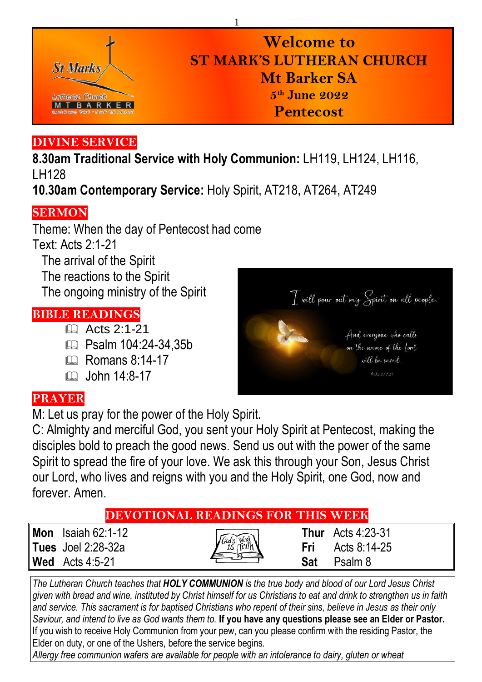

# **Welcome to ST MARK'S LUTHERAN CHURCH Mt Barker SA 5 th June 2022 Pentecost**

# **DIVINE SERVICE**

**8.30am Traditional Service with Holy Communion:** LH119, LH124, LH116, LH128

1

**10.30am Contemporary Service:** Holy Spirit, AT218, AT264, AT249

# **SERMON**

Theme: When the day of Pentecost had come Text: Acts 2:1-21 The arrival of the Spirit The reactions to the Spirit The ongoing ministry of the Spirit

#### **BIBLE READINGS**

- $\overline{4}$  Acts 2:1-21
- **Exam 104:24-34.35b**
- $\mathbb{R}$  Romans 8:14-17
- $m$  John  $14.8-17$

# T will pour out my Spirit on all people. And everyone who calls on the name of the lord will be saved.

# **PRAYER**

M: Let us pray for the power of the Holy Spirit.

C: Almighty and merciful God, you sent your Holy Spirit at Pentecost, making the disciples bold to preach the good news. Send us out with the power of the same Spirit to spread the fire of your love. We ask this through your Son, Jesus Christ our Lord, who lives and reigns with you and the Holy Spirit, one God, now and forever. Amen.

|                           | <b>DEVOTIONAL READINGS FOR THIS WEEK</b> |                            |  |
|---------------------------|------------------------------------------|----------------------------|--|
| <b>Mon</b> Isaiah 62:1-12 |                                          | <b>Thur</b> Acts $4:23-31$ |  |
| <b>Tues</b> Joel 2:28-32a | Fri                                      | Acts 8:14-25               |  |
| <b>Wed</b> Acts 4:5-21    | Sat                                      | Psalm 8                    |  |
|                           |                                          |                            |  |

*The Lutheran Church teaches that HOLY COMMUNION is the true body and blood of our Lord Jesus Christ given with bread and wine, instituted by Christ himself for us Christians to eat and drink to strengthen us in faith and service. This sacrament is for baptised Christians who repent of their sins, believe in Jesus as their only Saviour, and intend to live as God wants them to.* **If you have any questions please see an Elder or Pastor.**  If you wish to receive Holy Communion from your pew, can you please confirm with the residing Pastor, the Elder on duty, or one of the Ushers, before the service begins.

*Allergy free communion wafers are available for people with an intolerance to dairy, gluten or wheat*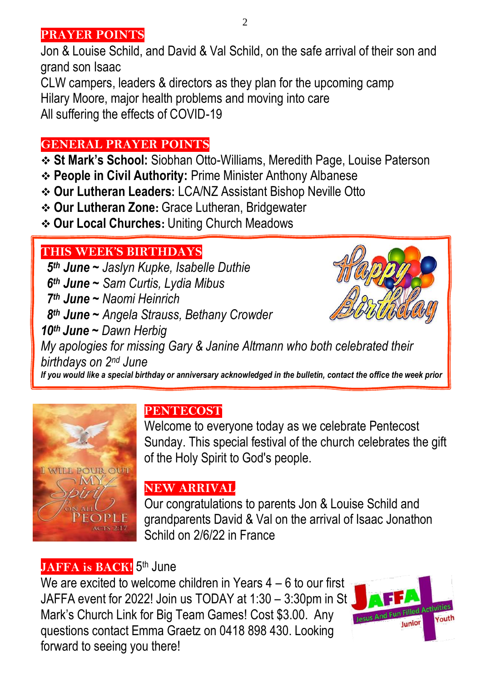#### **PRAYER POINTS**

Jon & Louise Schild, and David & Val Schild, on the safe arrival of their son and grand son Isaac

CLW campers, leaders & directors as they plan for the upcoming camp Hilary Moore, major health problems and moving into care All suffering the effects of COVID-19

#### **GENERAL PRAYER POINTS**

- ❖ **St Mark's School:** Siobhan Otto-Williams, Meredith Page, Louise Paterson
- ❖ **People in Civil Authority:** Prime Minister Anthony Albanese
- ❖ **Our Lutheran Leaders:** LCA/NZ Assistant Bishop Neville Otto
- ❖ **Our Lutheran Zone:** Grace Lutheran, Bridgewater
- ❖ **Our Local Churches:** Uniting Church Meadows

#### **THIS WEEK'S BIRTHDAYS**

 $\frac{1}{2}$  *th June ~ Jaslyn Kupke, Isabelle Duthie th June ~ Sam Curtis, Lydia Mibus th June ~ Naomi Heinrich th June ~ Angela Strauss, Bethany Crowder th June ~ Dawn Herbig*



*My apologies for missing Gary & Janine Altmann who both celebrated their birthdays on 2nd June*

*If you would like a special birthday or anniversary acknowledged in the bulletin, contact the office the week prior*



# **PENTECOST**

Welcome to everyone today as we celebrate Pentecost Sunday. This special festival of the church celebrates the gift of the Holy Spirit to God's people.

# **NEW ARRIVAL**

Our congratulations to parents Jon & Louise Schild and grandparents David & Val on the arrival of Isaac Jonathon Schild on 2/6/22 in France

# **JAFFA is BACK!** 5<sup>th</sup> June

We are excited to welcome children in Years 4 – 6 to our first JAFFA event for 2022! Join us TODAY at 1:30 – 3:30pm in St Mark's Church Link for Big Team Games! Cost \$3.00. Any questions contact Emma Graetz on 0418 898 430. Looking forward to seeing you there!

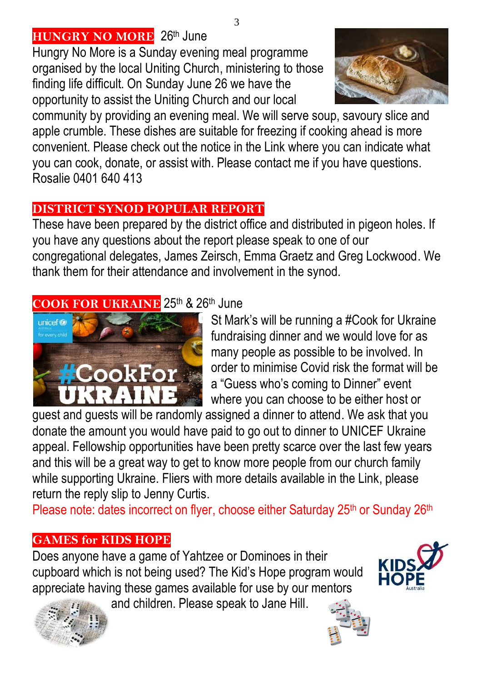# **HUNGRY NO MORE** 26th June

Hungry No More is a Sunday evening meal programme organised by the local Uniting Church, ministering to those finding life difficult. On Sunday June 26 we have the opportunity to assist the Uniting Church and our local



community by providing an evening meal. We will serve soup, savoury slice and apple crumble. These dishes are suitable for freezing if cooking ahead is more convenient. Please check out the notice in the Link where you can indicate what you can cook, donate, or assist with. Please contact me if you have questions. Rosalie 0401 640 413

# **DISTRICT SYNOD POPULAR REPORT**

These have been prepared by the district office and distributed in pigeon holes. If you have any questions about the report please speak to one of our congregational delegates, James Zeirsch, Emma Graetz and Greg Lockwood. We thank them for their attendance and involvement in the synod.

# **COOK FOR UKRAINE** 25<sup>th</sup> & 26<sup>th</sup> June



St Mark's will be running a #Cook for Ukraine fundraising dinner and we would love for as many people as possible to be involved. In order to minimise Covid risk the format will be a "Guess who's coming to Dinner" event where you can choose to be either host or

guest and guests will be randomly assigned a dinner to attend. We ask that you donate the amount you would have paid to go out to dinner to UNICEF Ukraine appeal. Fellowship opportunities have been pretty scarce over the last few years and this will be a great way to get to know more people from our church family while supporting Ukraine. Fliers with more details available in the Link, please return the reply slip to Jenny Curtis.

Please note: dates incorrect on flyer, choose either Saturday 25<sup>th</sup> or Sunday 26<sup>th</sup>

# **GAMES for KIDS HOPE**

Does anyone have a game of Yahtzee or Dominoes in their cupboard which is not being used? The Kid's Hope program would appreciate having these games available for use by our mentors

and children. Please speak to Jane Hill.





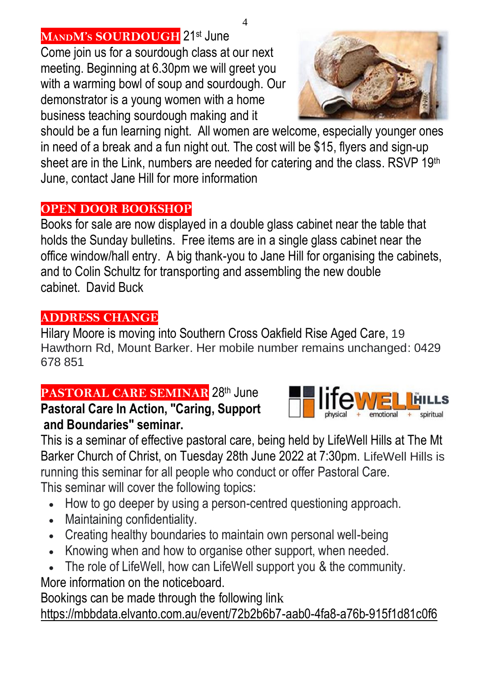**MANDM'<sup>S</sup> SOURDOUGH** 21st June Come join us for a sourdough class at our next

meeting. Beginning at 6.30pm we will greet you with a warming bowl of soup and sourdough. Our demonstrator is a young women with a home business teaching sourdough making and it

should be a fun learning night. All women are welcome, especially younger ones in need of a break and a fun night out. The cost will be \$15, flyers and sign-up sheet are in the Link, numbers are needed for catering and the class. RSVP 19th June, contact Jane Hill for more information

# **OPEN DOOR BOOKSHOP**

Books for sale are now displayed in a double glass cabinet near the table that holds the Sunday bulletins. Free items are in a single glass cabinet near the office window/hall entry. A big thank-you to Jane Hill for organising the cabinets, and to Colin Schultz for transporting and assembling the new double cabinet. David Buck

# **ADDRESS CHANGE**

Hilary Moore is moving into Southern Cross Oakfield Rise Aged Care, 19 Hawthorn Rd, Mount Barker. Her mobile number remains unchanged: 0429 678 851

# **PASTORAL CARE SEMINAR 28th June**

**Pastoral Care In Action, "Caring, Support and Boundaries" seminar.**



- How to go deeper by using a person-centred questioning approach.
- Maintaining confidentiality.
- Creating healthy boundaries to maintain own personal well-being
- Knowing when and how to organise other support, when needed.
- The role of LifeWell, how can LifeWell support you & the community.

More information on the noticeboard.

Bookings can be made through the following link <https://mbbdata.elvanto.com.au/event/72b2b6b7-aab0-4fa8-a76b-915f1d81c0f6>

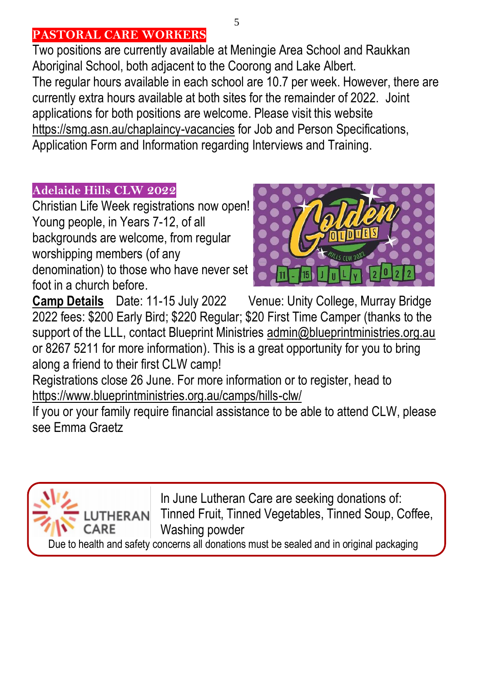#### **PASTORAL CARE WORKERS**

Two positions are currently available at Meningie Area School and Raukkan Aboriginal School, both adjacent to the Coorong and Lake Albert. The regular hours available in each school are 10.7 per week. However, there are currently extra hours available at both sites for the remainder of 2022. Joint applications for both positions are welcome. Please visit this website <https://smg.asn.au/chaplaincy-vacancies> for Job and Person Specifications, Application Form and Information regarding Interviews and Training.

#### **Adelaide Hills CLW 2022**

Christian Life Week registrations now open! Young people, in Years 7-12, of all backgrounds are welcome, from regular worshipping members (of any denomination) to those who have never set foot in a church before.



**Camp Details** Date: 11-15 July 2022 Venue: Unity College, Murray Bridge 2022 fees: \$200 Early Bird; \$220 Regular; \$20 First Time Camper (thanks to the support of the LLL, contact Blueprint Ministries [admin@blueprintministries.org.au](mailto:admin@blueprintministries.org.au) or 8267 5211 for more information). This is a great opportunity for you to bring along a friend to their first CLW camp!

Registrations close 26 June. For more information or to register, head to <https://www.blueprintministries.org.au/camps/hills-clw/>

If you or your family require financial assistance to be able to attend CLW, please see Emma Graetz



In June Lutheran Care are seeking donations of: ERAN Tinned Fruit, Tinned Vegetables, Tinned Soup, Coffee, Washing powder

Due to health and safety concerns all donations must be sealed and in original packaging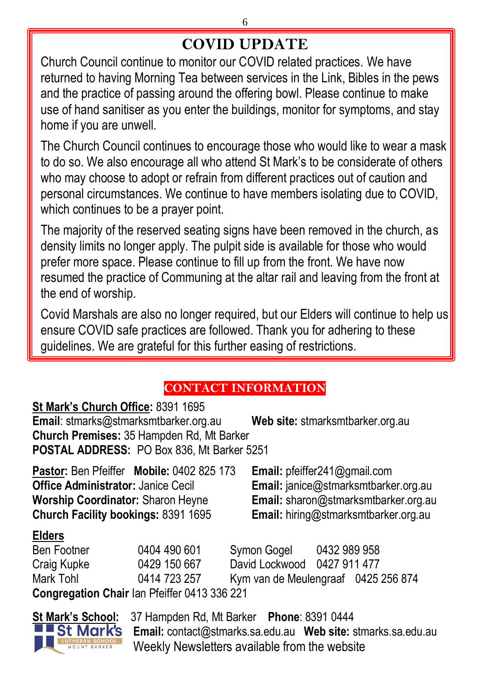# **COVID UPDATE**

Church Council continue to monitor our COVID related practices. We have returned to having Morning Tea between services in the Link, Bibles in the pews and the practice of passing around the offering bowl. Please continue to make use of hand sanitiser as you enter the buildings, monitor for symptoms, and stay home if you are unwell.

The Church Council continues to encourage those who would like to wear a mask to do so. We also encourage all who attend St Mark's to be considerate of others who may choose to adopt or refrain from different practices out of caution and personal circumstances. We continue to have members isolating due to COVID, which continues to be a prayer point.

The majority of the reserved seating signs have been removed in the church, as density limits no longer apply. The pulpit side is available for those who would prefer more space. Please continue to fill up from the front. We have now resumed the practice of Communing at the altar rail and leaving from the front at the end of worship.

Covid Marshals are also no longer required, but our Elders will continue to help us ensure COVID safe practices are followed. Thank you for adhering to these guidelines. We are grateful for this further easing of restrictions.

# **CONTACT INFORMATION**

#### **St Mark's Church Office:** 8391 1695

**Email**[: stmarks@stmarksmtbarker.org.au](mailto:stmarks@stmarksmtbarker.org.au) **Web site:** stmarksmtbarker.org.au **Church Premises:** 35 Hampden Rd, Mt Barker **POSTAL ADDRESS:** PO Box 836, Mt Barker 5251

**Pastor:** Ben Pfeiffer **Mobile:** 0402 825 173 **Email:** [pfeiffer241@gmail.com](mailto:pfeiffer241@gmail.com) **Office Administrator:** Janice Cecil **Email:** [janice@stmarksmtbarker.org.au](mailto:janice@stmarksmtbarker.org.au)<br> **Worship Coordinator:** Sharon Heyne **Email:** sharon@stmarksmtbarker.org.au **Church Facility bookings:** 8391 1695 **Email:** hiring@stmarksmtbarker.org.au

**Email:** [sharon@stmarksmtbarker.org.au](mailto:sharon@stmarksmtbarker.org.au)

#### **Elders**

Ben Footner 0404 490 601 Symon Gogel 0432 989 958 Craig Kupke 0429 150 667 David Lockwood 0427 911 477 Mark Tohl 0414 723 257 Kym van de Meulengraaf 0425 256 874 **Congregation Chair** Ian Pfeiffer 0413 336 221



**St Mark's School:** 37 Hampden Rd, Mt Barker **Phone**: 8391 0444 **Email:** [contact@stmarks.sa.edu.au](mailto:contact@stmarks.sa.edu.au) **Web site:** [stmarks.sa.edu.au](http://www.stmarks.sa.edu.au/) Weekly Newsletters available from the website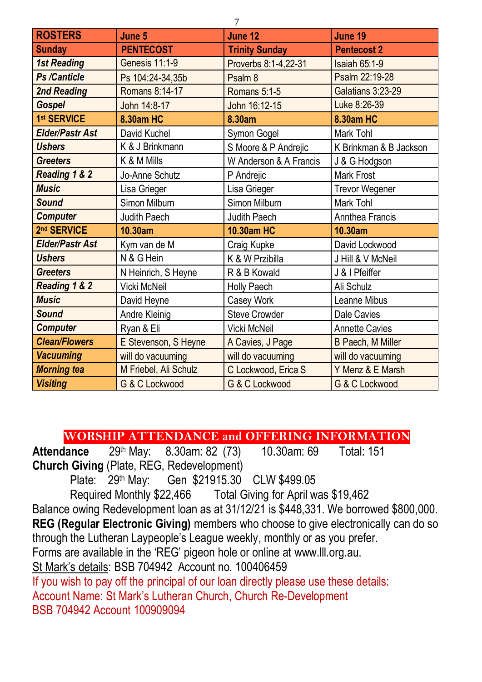| 7                      |                       |                        |                          |  |  |  |
|------------------------|-----------------------|------------------------|--------------------------|--|--|--|
| <b>ROSTERS</b>         | June 5                | June 12                | June 19                  |  |  |  |
| <b>Sunday</b>          | <b>PENTECOST</b>      | <b>Trinity Sunday</b>  | <b>Pentecost 2</b>       |  |  |  |
| <b>1st Reading</b>     | Genesis 11:1-9        | Proverbs 8:1-4,22-31   | <b>Isaiah 65:1-9</b>     |  |  |  |
| <b>Ps /Canticle</b>    | Ps 104:24-34,35b      | Psalm 8                | Psalm 22:19-28           |  |  |  |
| 2nd Reading            | Romans 8:14-17        | Romans 5:1-5           | Galatians 3:23-29        |  |  |  |
| <b>Gospel</b>          | John 14:8-17          | John 16:12-15          | Luke 8:26-39             |  |  |  |
| 1st SERVICE            | 8.30am HC             | 8.30am                 | 8.30am HC                |  |  |  |
| <b>Elder/Pastr Ast</b> | David Kuchel          | Symon Gogel            | Mark Tohl                |  |  |  |
| <b>Ushers</b>          | K & J Brinkmann       | S Moore & P Andrejic   | K Brinkman & B Jackson   |  |  |  |
| <b>Greeters</b>        | K & M Mills           | W Anderson & A Francis | J & G Hodgson            |  |  |  |
| Reading 1 & 2          | Jo-Anne Schutz        | P Andrejic             | Mark Frost               |  |  |  |
| <b>Music</b>           | Lisa Grieger          | Lisa Grieger           | Trevor Wegener           |  |  |  |
| Sound                  | Simon Milburn         | Simon Milburn          | Mark Tohl                |  |  |  |
| <b>Computer</b>        | Judith Paech          | Judith Paech           | Annthea Francis          |  |  |  |
| 2nd SERVICE            | 10.30am               | 10.30am HC             | 10.30am                  |  |  |  |
| <b>Elder/Pastr Ast</b> | Kym van de M          | Craig Kupke            | David Lockwood           |  |  |  |
| <b>Ushers</b>          | N & G Hein            | K & W Przibilla        | J Hill & V McNeil        |  |  |  |
| <b>Greeters</b>        | N Heinrich, S Heyne   | R & B Kowald           | J & I Pfeiffer           |  |  |  |
| Reading 1 & 2          | Vicki McNeil          | Holly Paech            | Ali Schulz               |  |  |  |
| <b>Music</b>           | David Heyne           | Casey Work             | Leanne Mibus             |  |  |  |
| Sound                  | Andre Kleinig         | <b>Steve Crowder</b>   | Dale Cavies              |  |  |  |
| <b>Computer</b>        | Ryan & Eli            | Vicki McNeil           | <b>Annette Cavies</b>    |  |  |  |
| <b>Clean/Flowers</b>   | E Stevenson, S Heyne  | A Cavies, J Page       | <b>B Paech, M Miller</b> |  |  |  |
| <b>Vacuuming</b>       | will do vacuuming     | will do vacuuming      | will do vacuuming        |  |  |  |
| <b>Morning tea</b>     | M Friebel, Ali Schulz | C Lockwood, Erica S    | Y Menz & E Marsh         |  |  |  |
| <b>Visiting</b>        | G & C Lockwood        | G & C Lockwood         | G & C Lockwood           |  |  |  |

#### **WORSHIP ATTENDANCE and OFFERING INFORMATION**

Attendance 29<sup>th</sup> May: 8.30am: 82 (73) 10.30am: 69 Total: 151 **Church Giving** (Plate, REG, Redevelopment)

Plate: 29<sup>th</sup> May: Gen \$21915.30 CLW \$499.05

Required Monthly \$22,466 Total Giving for April was \$19,462

Balance owing Redevelopment loan as at 31/12/21 is \$448,331. We borrowed \$800,000. **REG (Regular Electronic Giving)** members who choose to give electronically can do so through the Lutheran Laypeople's League weekly, monthly or as you prefer.

Forms are available in the 'REG' pigeon hole or online at [www.lll.org.au.](http://www.lll.org.au/)

St Mark's details: BSB 704942 Account no. 100406459

If you wish to pay off the principal of our loan directly please use these details: Account Name: St Mark's Lutheran Church, Church Re-Development BSB 704942 Account 100909094